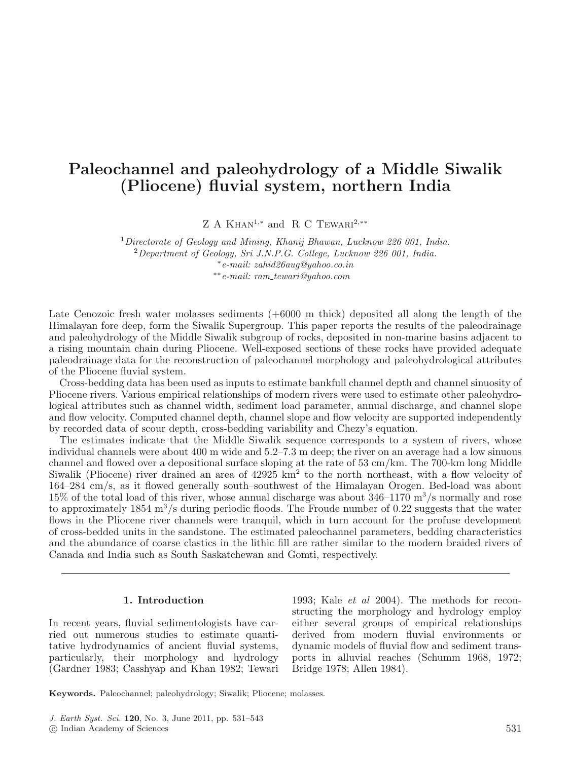# **Paleochannel and paleohydrology of a Middle Siwalik (Pliocene) fluvial system, northern India**

Z A KHAN<sup>1,\*</sup> and R C TEWARI<sup>2,\*\*</sup>

<sup>1</sup>Directorate of Geology and Mining, Khanij Bhawan, Lucknow 226 001, India.  $2$ Department of Geology, Sri J.N.P.G. College, Lucknow 226 001, India. <sup>∗</sup>e-mail: zahid26aug@yahoo.co.in ∗∗e-mail: ram tewari@yahoo.com

Late Cenozoic fresh water molasses sediments  $(+6000 \text{ m}$  thick) deposited all along the length of the Himalayan fore deep, form the Siwalik Supergroup. This paper reports the results of the paleodrainage and paleohydrology of the Middle Siwalik subgroup of rocks, deposited in non-marine basins adjacent to a rising mountain chain during Pliocene. Well-exposed sections of these rocks have provided adequate paleodrainage data for the reconstruction of paleochannel morphology and paleohydrological attributes of the Pliocene fluvial system.

Cross-bedding data has been used as inputs to estimate bankfull channel depth and channel sinuosity of Pliocene rivers. Various empirical relationships of modern rivers were used to estimate other paleohydrological attributes such as channel width, sediment load parameter, annual discharge, and channel slope and flow velocity. Computed channel depth, channel slope and flow velocity are supported independently by recorded data of scour depth, cross-bedding variability and Chezy's equation.

The estimates indicate that the Middle Siwalik sequence corresponds to a system of rivers, whose individual channels were about 400 m wide and 5.2–7.3 m deep; the river on an average had a low sinuous channel and flowed over a depositional surface sloping at the rate of 53 cm/km. The 700-km long Middle Siwalik (Pliocene) river drained an area of 42925 km<sup>2</sup> to the north–northeast, with a flow velocity of 164–284 cm/s, as it flowed generally south–southwest of the Himalayan Orogen. Bed-load was about 15% of the total load of this river, whose annual discharge was about  $346-1170$  m<sup>3</sup>/s normally and rose to approximately 1854 m<sup>3</sup>/s during periodic floods. The Froude number of 0.22 suggests that the water flows in the Pliocene river channels were tranquil, which in turn account for the profuse development of cross-bedded units in the sandstone. The estimated paleochannel parameters, bedding characteristics and the abundance of coarse clastics in the lithic fill are rather similar to the modern braided rivers of Canada and India such as South Saskatchewan and Gomti, respectively.

### **1. Introduction**

In recent years, fluvial sedimentologists have carried out numerous studies to estimate quantitative hydrodynamics of ancient fluvial systems, particularly, their morphology and hydrology (Gardner 1983; Casshyap and Khan 1982; Tewari

1993; Kale et al 2004). The methods for reconstructing the morphology and hydrology employ either several groups of empirical relationships derived from modern fluvial environments or dynamic models of fluvial flow and sediment transports in alluvial reaches (Schumm 1968, 1972; Bridge 1978; Allen 1984).

**Keywords.** Paleochannel; paleohydrology; Siwalik; Pliocene; molasses.

J. Earth Syst. Sci. **120**, No. 3, June 2011, pp. 531–543

<sup>-</sup>c Indian Academy of Sciences 531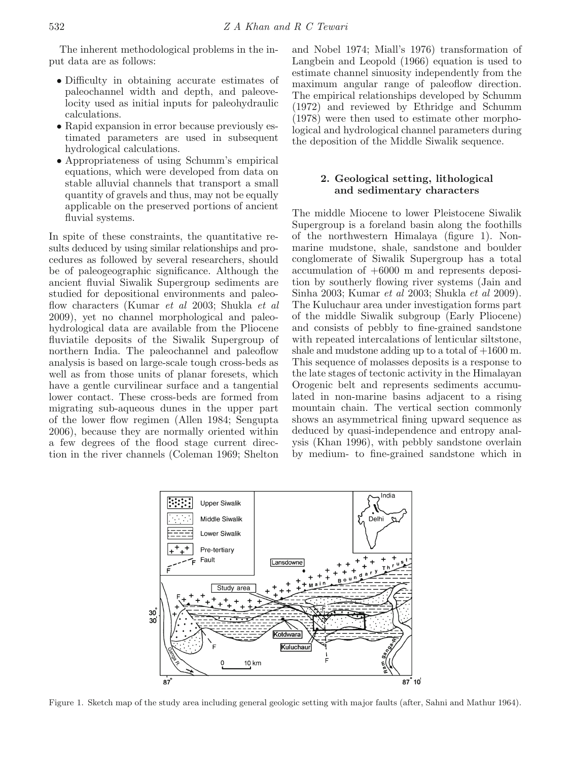The inherent methodological problems in the input data are as follows:

- Difficulty in obtaining accurate estimates of paleochannel width and depth, and paleovelocity used as initial inputs for paleohydraulic calculations.
- Rapid expansion in error because previously estimated parameters are used in subsequent hydrological calculations.
- Appropriateness of using Schumm's empirical equations, which were developed from data on stable alluvial channels that transport a small quantity of gravels and thus, may not be equally applicable on the preserved portions of ancient fluvial systems.

In spite of these constraints, the quantitative results deduced by using similar relationships and procedures as followed by several researchers, should be of paleogeographic significance. Although the ancient fluvial Siwalik Supergroup sediments are studied for depositional environments and paleoflow characters (Kumar et al 2003; Shukla et al 2009), yet no channel morphological and paleohydrological data are available from the Pliocene fluviatile deposits of the Siwalik Supergroup of northern India. The paleochannel and paleoflow analysis is based on large-scale tough cross-beds as well as from those units of planar foresets, which have a gentle curvilinear surface and a tangential lower contact. These cross-beds are formed from migrating sub-aqueous dunes in the upper part of the lower flow regimen (Allen 1984; Sengupta 2006), because they are normally oriented within a few degrees of the flood stage current direction in the river channels (Coleman 1969; Shelton

and Nobel 1974; Miall's 1976) transformation of Langbein and Leopold (1966) equation is used to estimate channel sinuosity independently from the maximum angular range of paleoflow direction. The empirical relationships developed by Schumm (1972) and reviewed by Ethridge and Schumm (1978) were then used to estimate other morphological and hydrological channel parameters during the deposition of the Middle Siwalik sequence.

# **2. Geological setting, lithological and sedimentary characters**

The middle Miocene to lower Pleistocene Siwalik Supergroup is a foreland basin along the foothills of the northwestern Himalaya (figure 1). Nonmarine mudstone, shale, sandstone and boulder conglomerate of Siwalik Supergroup has a total accumulation of +6000 m and represents deposition by southerly flowing river systems (Jain and Sinha 2003; Kumar et al 2003; Shukla et al 2009). The Kuluchaur area under investigation forms part of the middle Siwalik subgroup (Early Pliocene) and consists of pebbly to fine-grained sandstone with repeated intercalations of lenticular siltstone, shale and mudstone adding up to a total of  $+1600$  m. This sequence of molasses deposits is a response to the late stages of tectonic activity in the Himalayan Orogenic belt and represents sediments accumulated in non-marine basins adjacent to a rising mountain chain. The vertical section commonly shows an asymmetrical fining upward sequence as deduced by quasi-independence and entropy analysis (Khan 1996), with pebbly sandstone overlain by medium- to fine-grained sandstone which in



Figure 1. Sketch map of the study area including general geologic setting with major faults (after, Sahni and Mathur 1964).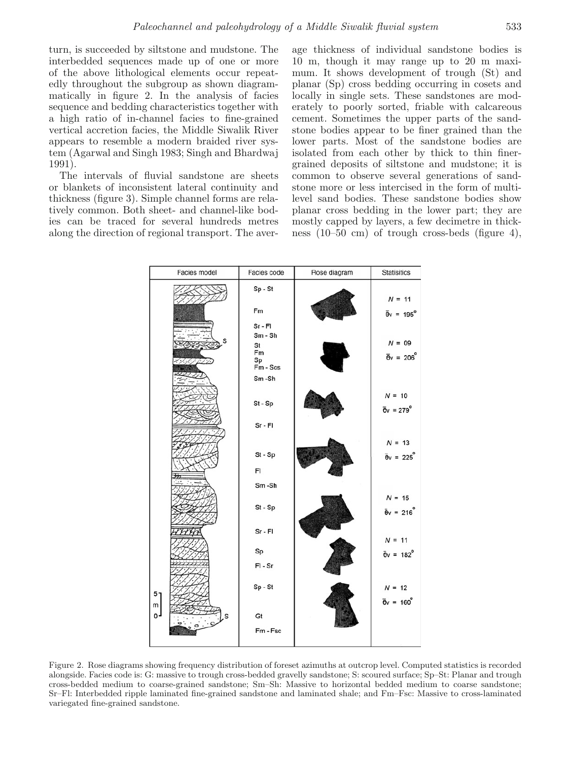turn, is succeeded by siltstone and mudstone. The interbedded sequences made up of one or more of the above lithological elements occur repeatedly throughout the subgroup as shown diagrammatically in figure 2. In the analysis of facies sequence and bedding characteristics together with a high ratio of in-channel facies to fine-grained vertical accretion facies, the Middle Siwalik River appears to resemble a modern braided river system (Agarwal and Singh 1983; Singh and Bhardwaj 1991).

The intervals of fluvial sandstone are sheets or blankets of inconsistent lateral continuity and thickness (figure 3). Simple channel forms are relatively common. Both sheet- and channel-like bodies can be traced for several hundreds metres along the direction of regional transport. The aver-

age thickness of individual sandstone bodies is 10 m, though it may range up to 20 m maximum. It shows development of trough (St) and planar (Sp) cross bedding occurring in cosets and locally in single sets. These sandstones are moderately to poorly sorted, friable with calcareous cement. Sometimes the upper parts of the sandstone bodies appear to be finer grained than the lower parts. Most of the sandstone bodies are isolated from each other by thick to thin finergrained deposits of siltstone and mudstone; it is common to observe several generations of sandstone more or less intercised in the form of multilevel sand bodies. These sandstone bodies show planar cross bedding in the lower part; they are mostly capped by layers, a few decimetre in thickness (10–50 cm) of trough cross-beds (figure 4),



Figure 2. Rose diagrams showing frequency distribution of foreset azimuths at outcrop level. Computed statistics is recorded alongside. Facies code is: G: massive to trough cross-bedded gravelly sandstone; S: scoured surface; Sp–St: Planar and trough cross-bedded medium to coarse-grained sandstone; Sm–Sh: Massive to horizontal bedded medium to coarse sandstone; Sr–Fl: Interbedded ripple laminated fine-grained sandstone and laminated shale; and Fm–Fsc: Massive to cross-laminated variegated fine-grained sandstone.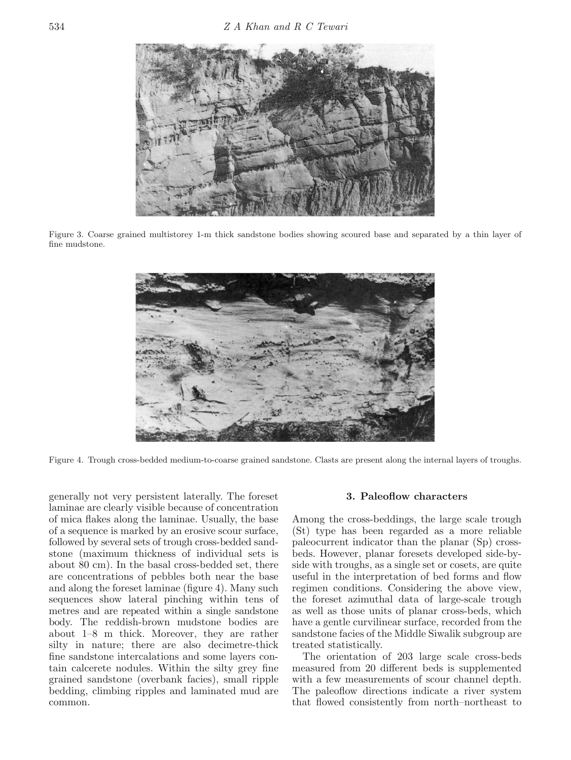

Figure 3. Coarse grained multistorey 1-m thick sandstone bodies showing scoured base and separated by a thin layer of fine mudstone.



Figure 4. Trough cross-bedded medium-to-coarse grained sandstone. Clasts are present along the internal layers of troughs.

generally not very persistent laterally. The foreset laminae are clearly visible because of concentration of mica flakes along the laminae. Usually, the base of a sequence is marked by an erosive scour surface, followed by several sets of trough cross-bedded sandstone (maximum thickness of individual sets is about 80 cm). In the basal cross-bedded set, there are concentrations of pebbles both near the base and along the foreset laminae (figure 4). Many such sequences show lateral pinching within tens of metres and are repeated within a single sandstone body. The reddish-brown mudstone bodies are about 1–8 m thick. Moreover, they are rather silty in nature; there are also decimetre-thick fine sandstone intercalations and some layers contain calcerete nodules. Within the silty grey fine grained sandstone (overbank facies), small ripple bedding, climbing ripples and laminated mud are common.

### **3. Paleoflow characters**

Among the cross-beddings, the large scale trough (St) type has been regarded as a more reliable paleocurrent indicator than the planar (Sp) crossbeds. However, planar foresets developed side-byside with troughs, as a single set or cosets, are quite useful in the interpretation of bed forms and flow regimen conditions. Considering the above view, the foreset azimuthal data of large-scale trough as well as those units of planar cross-beds, which have a gentle curvilinear surface, recorded from the sandstone facies of the Middle Siwalik subgroup are treated statistically.

The orientation of 203 large scale cross-beds measured from 20 different beds is supplemented with a few measurements of scour channel depth. The paleoflow directions indicate a river system that flowed consistently from north–northeast to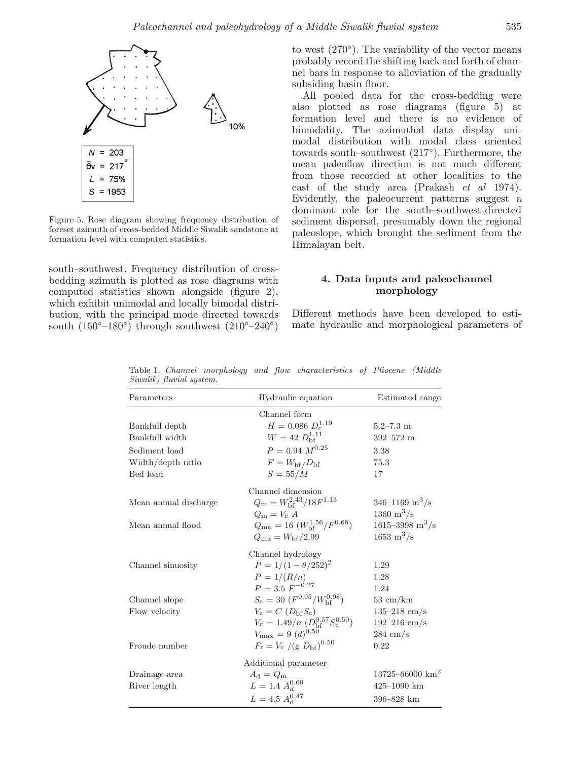

Figure 5. Rose diagram showing frequency distribution of foreset azimuth of cross-bedded Middle Siwalik sandstone at formation level with computed statistics.

south–southwest. Frequency distribution of crossbedding azimuth is plotted as rose diagrams with computed statistics shown alongside (figure 2), which exhibit unimodal and locally bimodal distribution, with the principal mode directed towards south  $(150°-180°)$  through southwest  $(210°-240°)$ 

to west  $(270°)$ . The variability of the vector means probably record the shifting back and forth of channel bars in response to alleviation of the gradually subsiding basin floor.

All pooled data for the cross-bedding were also plotted as rose diagrams (figure 5) at formation level and there is no evidence of bimodality. The azimuthal data display unimodal distribution with modal class oriented towards south–southwest (217◦). Furthermore, the mean paleoflow direction is not much different from those recorded at other localities to the east of the study area (Prakash *et al* 1974). Evidently, the paleocurrent patterns suggest a dominant role for the south–southwest-directed sediment dispersal, presumably down the regional paleoslope, which brought the sediment from the Himalayan belt.

# **4. Data inputs and paleochannel morphology**

Different methods have been developed to estimate hydraulic and morphological parameters of

| Parameters            | Hydraulic equation                               | Estimated range                 |
|-----------------------|--------------------------------------------------|---------------------------------|
|                       | Channel form                                     |                                 |
| Bankfull depth        | $H = 0.086 D_c^{1.19}$                           | $5.2 - 7.3$ m                   |
| Bankfull width        | $W = 42 D_{\rm bf}^{1.11}$                       | $392 - 572$ m                   |
| Sediment load         | $P = 0.94 M^{0.25}$                              | 3.38                            |
| Width/depth ratio     | $F = W_{\rm bf}/D_{\rm bf}$                      | 75.3                            |
| Bed load              | $S=55/M$                                         | 17                              |
|                       | Channel dimension                                |                                 |
| Mean annual discharge | $Q_{\rm m} = W_{\rm bf}^{2.43}/18F^{1.13}$       | 346–1169 m <sup>3</sup> /s      |
|                       | $Q_{\rm m} = V_{\rm c} A$                        | $1360 \;{\rm m^3/s}$            |
| Mean annual flood     | $Q_{\rm ma}$ = 16 $(W_{\rm bf}^{1.56}/F^{0.66})$ | $1615 - 3998$ m <sup>3</sup> /s |
|                       | $Q_{\rm ma} = W_{\rm bf}/2.99$                   | $1653 \;{\rm m^3/s}$            |
|                       | Channel hydrology                                |                                 |
| Channel sinuosity     | $P = 1/(1 - \theta/252)^2$                       | 1.29                            |
|                       | $P = 1/(R/n)$                                    | 1.28                            |
|                       | $P = 3.5 F^{-0.27}$                              | 1.24                            |
| Channel slope         | $S_c = 30 \ (F^{0.95}/W_{\rm bf}^{0.98})$        | $53 \text{ cm/km}$              |
| Flow velocity         | $V_c = C (D_{\rm bf} S_c)$                       | $135 - 218$ cm/s                |
|                       | $V_c = 1.49/n~(D_{\rm hf}^{0.57} S_c^{0.50})$    | $192 - 216$ cm/s                |
|                       | $V_{\text{max}} = 9 \ (d)^{0.50}$                | $284 \text{ cm/s}$              |
| Froude number         | $F_{\rm r} = V_{\rm c} / (g D_{\rm bf})^{0.50}$  | 0.22                            |
|                       | Additional parameter                             |                                 |
| Drainage area         | $A_{\rm d} = Q_{\rm m}$                          | $13725 - 66000$ km <sup>2</sup> |
| River length          | $L$ = 1.4 $A_d^{\rm 0.60}$                       | $425 - 1090$ km                 |
|                       | $L = 4.5 A_{\rm d}^{0.47}$                       | $396 - 828$ km                  |

Table 1. Channel morphology and flow characteristics of Pliocene (Middle Siwalik) fluvial system.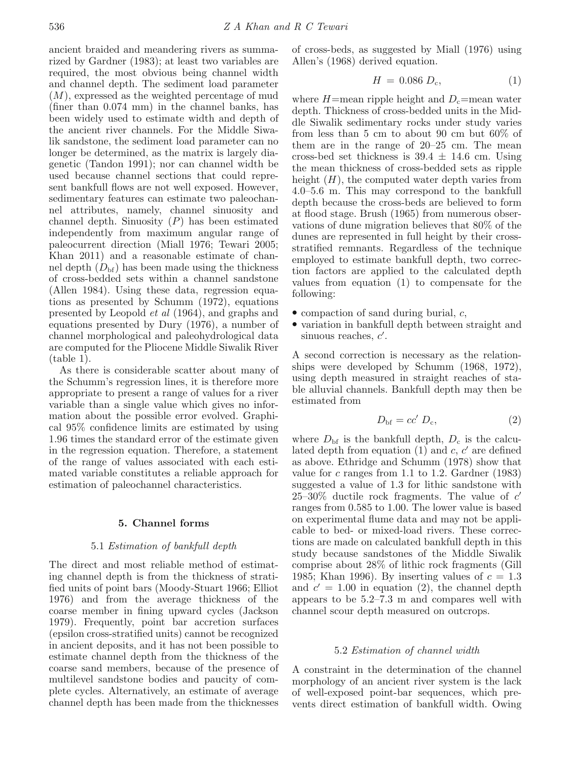ancient braided and meandering rivers as summarized by Gardner (1983); at least two variables are required, the most obvious being channel width and channel depth. The sediment load parameter  $(M)$ , expressed as the weighted percentage of mud (finer than 0.074 mm) in the channel banks, has been widely used to estimate width and depth of the ancient river channels. For the Middle Siwalik sandstone, the sediment load parameter can no longer be determined, as the matrix is largely diagenetic (Tandon 1991); nor can channel width be used because channel sections that could represent bankfull flows are not well exposed. However, sedimentary features can estimate two paleochannel attributes, namely, channel sinuosity and channel depth. Sinuosity  $(P)$  has been estimated independently from maximum angular range of paleocurrent direction (Miall 1976; Tewari 2005; Khan 2011) and a reasonable estimate of channel depth  $(D_{\text{bf}})$  has been made using the thickness of cross-bedded sets within a channel sandstone (Allen 1984). Using these data, regression equations as presented by Schumm (1972), equations presented by Leopold et al (1964), and graphs and equations presented by Dury (1976), a number of channel morphological and paleohydrological data are computed for the Pliocene Middle Siwalik River (table 1).

As there is considerable scatter about many of the Schumm's regression lines, it is therefore more appropriate to present a range of values for a river variable than a single value which gives no information about the possible error evolved. Graphical 95% confidence limits are estimated by using 1.96 times the standard error of the estimate given in the regression equation. Therefore, a statement of the range of values associated with each estimated variable constitutes a reliable approach for estimation of paleochannel characteristics.

### **5. Channel forms**

## 5.1 Estimation of bankfull depth

The direct and most reliable method of estimating channel depth is from the thickness of stratified units of point bars (Moody-Stuart 1966; Elliot 1976) and from the average thickness of the coarse member in fining upward cycles (Jackson 1979). Frequently, point bar accretion surfaces (epsilon cross-stratified units) cannot be recognized in ancient deposits, and it has not been possible to estimate channel depth from the thickness of the coarse sand members, because of the presence of multilevel sandstone bodies and paucity of complete cycles. Alternatively, an estimate of average channel depth has been made from the thicknesses of cross-beds, as suggested by Miall (1976) using Allen's (1968) derived equation.

$$
H = 0.086 D_{\rm c}, \tag{1}
$$

where  $H=\text{mean ripple height}$  and  $D_c=\text{mean water}$ depth. Thickness of cross-bedded units in the Middle Siwalik sedimentary rocks under study varies from less than 5 cm to about 90 cm but 60% of them are in the range of 20–25 cm. The mean cross-bed set thickness is  $39.4 \pm 14.6$  cm. Using the mean thickness of cross-bedded sets as ripple height  $(H)$ , the computed water depth varies from 4.0–5.6 m. This may correspond to the bankfull depth because the cross-beds are believed to form at flood stage. Brush (1965) from numerous observations of dune migration believes that 80% of the dunes are represented in full height by their crossstratified remnants. Regardless of the technique employed to estimate bankfull depth, two correction factors are applied to the calculated depth values from equation (1) to compensate for the following:

- compaction of sand during burial,  $c$ ,
- variation in bankfull depth between straight and sinuous reaches,  $c'$ .

A second correction is necessary as the relationships were developed by Schumm (1968, 1972), using depth measured in straight reaches of stable alluvial channels. Bankfull depth may then be estimated from

$$
D_{\rm bf} = cc' D_{\rm c},\tag{2}
$$

where  $D_{\rm bf}$  is the bankfull depth,  $D_{\rm c}$  is the calculated depth from equation  $(1)$  and c, c' are defined as above. Ethridge and Schumm (1978) show that value for c ranges from 1.1 to 1.2. Gardner  $(1983)$ suggested a value of 1.3 for lithic sandstone with  $25-30\%$  ductile rock fragments. The value of  $c'$ ranges from 0.585 to 1.00. The lower value is based on experimental flume data and may not be applicable to bed- or mixed-load rivers. These corrections are made on calculated bankfull depth in this study because sandstones of the Middle Siwalik comprise about 28% of lithic rock fragments (Gill 1985; Khan 1996). By inserting values of  $c = 1.3$ and  $c' = 1.00$  in equation (2), the channel depth appears to be 5.2–7.3 m and compares well with channel scour depth measured on outcrops.

# 5.2 Estimation of channel width

A constraint in the determination of the channel morphology of an ancient river system is the lack of well-exposed point-bar sequences, which prevents direct estimation of bankfull width. Owing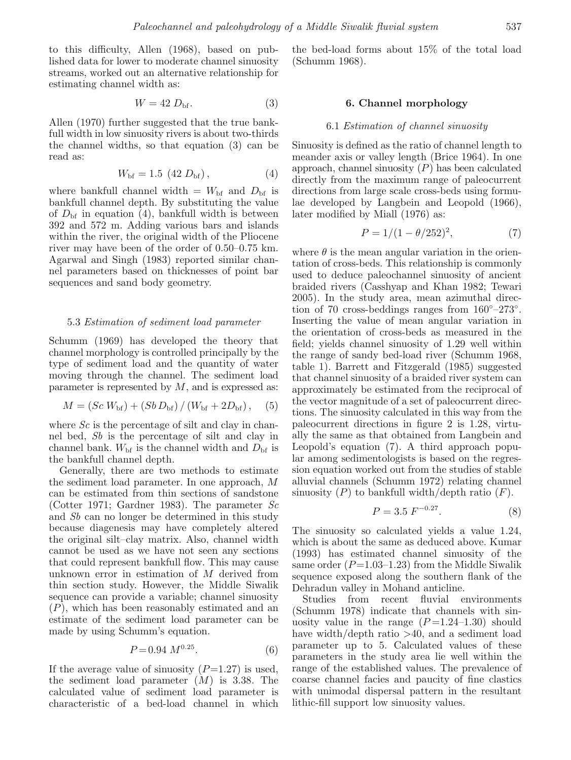to this difficulty, Allen (1968), based on published data for lower to moderate channel sinuosity streams, worked out an alternative relationship for estimating channel width as:

$$
W = 42 D_{\text{bf}}.\tag{3}
$$

Allen (1970) further suggested that the true bankfull width in low sinuosity rivers is about two-thirds the channel widths, so that equation (3) can be read as:

$$
W_{\rm bf} = 1.5 \, (42 \, D_{\rm bf}), \tag{4}
$$

where bankfull channel width  $= W_{\rm bf}$  and  $D_{\rm bf}$  is bankfull channel depth. By substituting the value of  $D_{\text{bf}}$  in equation (4), bankfull width is between 392 and 572 m. Adding various bars and islands within the river, the original width of the Pliocene river may have been of the order of 0.50–0.75 km. Agarwal and Singh (1983) reported similar channel parameters based on thicknesses of point bar sequences and sand body geometry.

### 5.3 Estimation of sediment load parameter

Schumm (1969) has developed the theory that channel morphology is controlled principally by the type of sediment load and the quantity of water moving through the channel. The sediment load parameter is represented by  $M$ , and is expressed as:

$$
M = (Sc W_{\rm bf}) + (Sb D_{\rm bf}) / (W_{\rm bf} + 2D_{\rm bf}), \quad (5)
$$

where  $Sc$  is the percentage of silt and clay in channel bed, Sb is the percentage of silt and clay in channel bank.  $W_{\text{bf}}$  is the channel width and  $D_{\text{bf}}$  is the bankfull channel depth.

Generally, there are two methods to estimate the sediment load parameter. In one approach, M can be estimated from thin sections of sandstone (Cotter 1971; Gardner 1983). The parameter  $Sc$ and Sb can no longer be determined in this study because diagenesis may have completely altered the original silt–clay matrix. Also, channel width cannot be used as we have not seen any sections that could represent bankfull flow. This may cause unknown error in estimation of M derived from thin section study. However, the Middle Siwalik sequence can provide a variable; channel sinuosity (P), which has been reasonably estimated and an estimate of the sediment load parameter can be made by using Schumm's equation.

$$
P = 0.94 \ M^{0.25}.\tag{6}
$$

If the average value of sinuosity  $(P=1.27)$  is used, the sediment load parameter  $(M)$  is 3.38. The calculated value of sediment load parameter is characteristic of a bed-load channel in which

the bed-load forms about 15% of the total load (Schumm 1968).

### **6. Channel morphology**

### 6.1 Estimation of channel sinuosity

Sinuosity is defined as the ratio of channel length to meander axis or valley length (Brice 1964). In one approach, channel sinuosity  $(P)$  has been calculated directly from the maximum range of paleocurrent directions from large scale cross-beds using formulae developed by Langbein and Leopold (1966), later modified by Miall (1976) as:

$$
P = 1/(1 - \theta/252)^2, \tag{7}
$$

where  $\theta$  is the mean angular variation in the orientation of cross-beds. This relationship is commonly used to deduce paleochannel sinuosity of ancient braided rivers (Casshyap and Khan 1982; Tewari 2005). In the study area, mean azimuthal direction of 70 cross-beddings ranges from  $160°-273°$ . Inserting the value of mean angular variation in the orientation of cross-beds as measured in the field; yields channel sinuosity of 1.29 well within the range of sandy bed-load river (Schumm 1968, table 1). Barrett and Fitzgerald (1985) suggested that channel sinuosity of a braided river system can approximately be estimated from the reciprocal of the vector magnitude of a set of paleocurrent directions. The sinuosity calculated in this way from the paleocurrent directions in figure 2 is 1.28, virtually the same as that obtained from Langbein and Leopold's equation (7). A third approach popular among sedimentologists is based on the regression equation worked out from the studies of stable alluvial channels (Schumm 1972) relating channel sinuosity  $(P)$  to bankfull width/depth ratio  $(F)$ .

$$
P = 3.5 \ F^{-0.27}.
$$
 (8)

The sinuosity so calculated yields a value 1.24, which is about the same as deduced above. Kumar (1993) has estimated channel sinuosity of the same order  $(P=1.03-1.23)$  from the Middle Siwalik sequence exposed along the southern flank of the Dehradun valley in Mohand anticline.

Studies from recent fluvial environments (Schumm 1978) indicate that channels with sinuosity value in the range  $(P=1.24-1.30)$  should have width/depth ratio  $>40$ , and a sediment load parameter up to 5. Calculated values of these parameters in the study area lie well within the range of the established values. The prevalence of coarse channel facies and paucity of fine clastics with unimodal dispersal pattern in the resultant lithic-fill support low sinuosity values.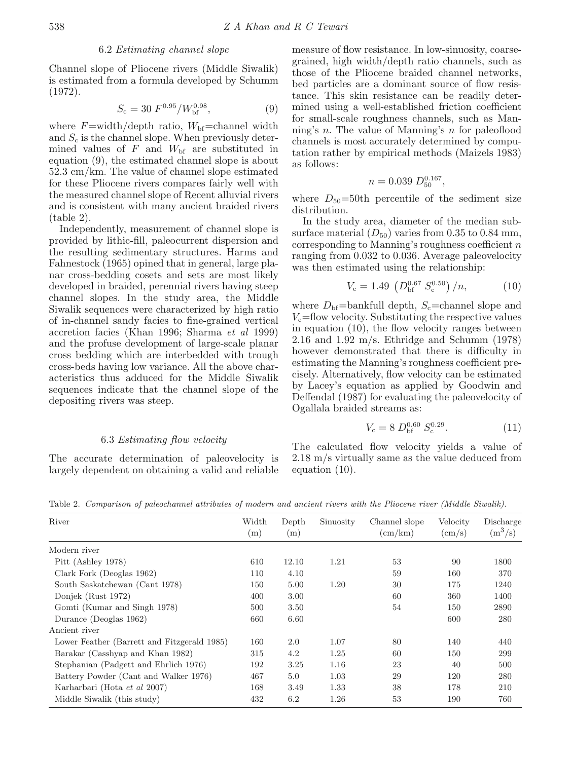### 6.2 Estimating channel slope

Channel slope of Pliocene rivers (Middle Siwalik) is estimated from a formula developed by Schumm (1972).

$$
S_{\rm c} = 30 \ F^{0.95} / W_{\rm bf}^{0.98},\tag{9}
$$

where  $F=\text{width}/\text{depth}$  ratio,  $W_{\text{bf}}=\text{channel}$  width and  $S_c$  is the channel slope. When previously determined values of  $F$  and  $W_{\text{bf}}$  are substituted in equation (9), the estimated channel slope is about 52.3 cm/km. The value of channel slope estimated for these Pliocene rivers compares fairly well with the measured channel slope of Recent alluvial rivers and is consistent with many ancient braided rivers (table 2).

Independently, measurement of channel slope is provided by lithic-fill, paleocurrent dispersion and the resulting sedimentary structures. Harms and Fahnestock (1965) opined that in general, large planar cross-bedding cosets and sets are most likely developed in braided, perennial rivers having steep channel slopes. In the study area, the Middle Siwalik sequences were characterized by high ratio of in-channel sandy facies to fine-grained vertical accretion facies (Khan 1996; Sharma et al 1999) and the profuse development of large-scale planar cross bedding which are interbedded with trough cross-beds having low variance. All the above characteristics thus adduced for the Middle Siwalik sequences indicate that the channel slope of the depositing rivers was steep.

### 6.3 Estimating flow velocity

The accurate determination of paleovelocity is largely dependent on obtaining a valid and reliable measure of flow resistance. In low-sinuosity, coarsegrained, high width/depth ratio channels, such as those of the Pliocene braided channel networks, bed particles are a dominant source of flow resistance. This skin resistance can be readily determined using a well-established friction coefficient for small-scale roughness channels, such as Manning's n. The value of Manning's n for paleoflood channels is most accurately determined by computation rather by empirical methods (Maizels 1983) as follows:

$$
n = 0.039 D_{50}^{0.167},
$$

where  $D_{50}=50$ th percentile of the sediment size distribution.

In the study area, diameter of the median subsurface material  $(D_{50})$  varies from 0.35 to 0.84 mm, corresponding to Manning's roughness coefficient  $n$ ranging from 0.032 to 0.036. Average paleovelocity was then estimated using the relationship:

$$
V_{\rm c} = 1.49 \, \left( D_{\rm bf}^{0.67} \, S_{\rm c}^{0.50} \right) / n, \tag{10}
$$

where  $D_{\rm bf}$ =bankfull depth,  $S_{\rm c}$ =channel slope and  $V_c$ =flow velocity. Substituting the respective values in equation (10), the flow velocity ranges between 2.16 and 1.92 m/s. Ethridge and Schumm (1978) however demonstrated that there is difficulty in estimating the Manning's roughness coefficient precisely. Alternatively, flow velocity can be estimated by Lacey's equation as applied by Goodwin and Deffendal (1987) for evaluating the paleovelocity of Ogallala braided streams as:

$$
V_{\rm c} = 8 D_{\rm bf}^{0.60} S_{\rm c}^{0.29}.
$$
 (11)

The calculated flow velocity yields a value of 2.18 m/s virtually same as the value deduced from equation (10).

River Width Depth Sinuosity Channel slope Velocity Discharge (m) (m)  $\text{(cm/km)} \qquad \text{(cm/s)} \qquad \text{(m}^3\text{/s)}$ Modern river Pitt (Ashley 1978) 610 12.10 1.21 53 90 1800 Clark Fork (Deoglas 1962) 110 4.10 59 160 370 South Saskatchewan (Cant 1978) 150 5.00 1.20 30 175 1240 Donjek (Rust 1972) 400 3.00 60 360 1400 Gomti (Kumar and Singh 1978) 500 5.50 54 150 2890 Durance (Deoglas 1962) 660 6.60 6.60 6.60 600 280 Ancient river Lower Feather (Barrett and Fitzgerald 1985) 160 2.0 1.07 80 140 440 Barakar (Casshyap and Khan 1982) 315 4.2 1.25 60 150 299 Stephanian (Padgett and Ehrlich 1976) 192 3.25 1.16 23 40 500 Battery Powder (Cant and Walker 1976) 467 5.0 1.03 29 120 280 Karharbari (Hota et al 2007) 168 3.49 1.33 38 178 210 Middle Siwalik (this study)  $432$  6.2 1.26 53 190 760

Table 2. Comparison of paleochannel attributes of modern and ancient rivers with the Pliocene river (Middle Siwalik).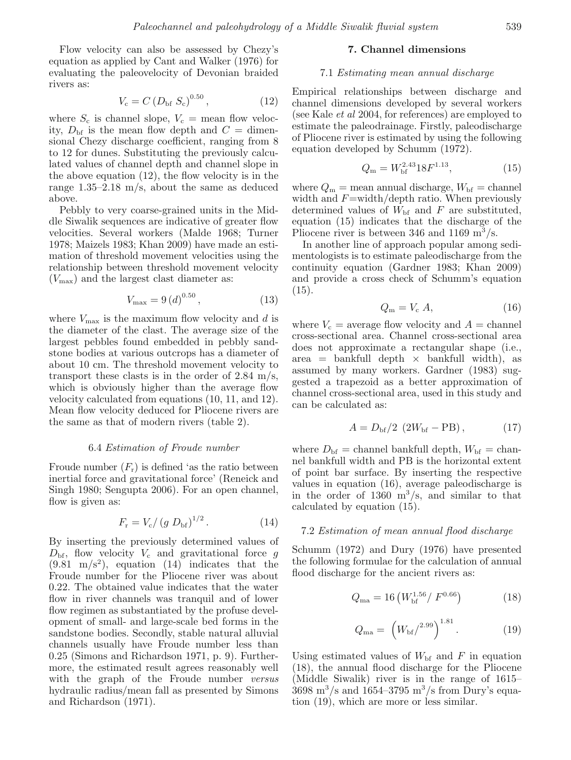Flow velocity can also be assessed by Chezy's equation as applied by Cant and Walker (1976) for evaluating the paleovelocity of Devonian braided rivers as:

$$
V_{\rm c} = C (D_{\rm bf} S_{\rm c})^{0.50},\tag{12}
$$

where  $S_c$  is channel slope,  $V_c$  = mean flow velocity,  $D_{\rm bf}$  is the mean flow depth and  $C =$  dimensional Chezy discharge coefficient, ranging from 8 to 12 for dunes. Substituting the previously calculated values of channel depth and channel slope in the above equation (12), the flow velocity is in the range 1.35–2.18 m/s, about the same as deduced above.

Pebbly to very coarse-grained units in the Middle Siwalik sequences are indicative of greater flow velocities. Several workers (Malde 1968; Turner 1978; Maizels 1983; Khan 2009) have made an estimation of threshold movement velocities using the relationship between threshold movement velocity  $(V_{\text{max}})$  and the largest clast diameter as:

$$
V_{\text{max}} = 9 (d)^{0.50}, \tag{13}
$$

where  $V_{\text{max}}$  is the maximum flow velocity and d is the diameter of the clast. The average size of the largest pebbles found embedded in pebbly sandstone bodies at various outcrops has a diameter of about 10 cm. The threshold movement velocity to transport these clasts is in the order of 2.84 m/s, which is obviously higher than the average flow velocity calculated from equations (10, 11, and 12). Mean flow velocity deduced for Pliocene rivers are the same as that of modern rivers (table 2).

# 6.4 Estimation of Froude number

Froude number  $(F_r)$  is defined 'as the ratio between inertial force and gravitational force' (Reneick and Singh 1980; Sengupta 2006). For an open channel, flow is given as:

$$
F_{\rm r} = V_{\rm c} / (g \, D_{\rm bf})^{1/2} \,. \tag{14}
$$

By inserting the previously determined values of  $D_{\text{bf}}$ , flow velocity  $V_c$  and gravitational force g  $(9.81 \text{ m/s}^2)$ , equation  $(14)$  indicates that the Froude number for the Pliocene river was about 0.22. The obtained value indicates that the water flow in river channels was tranquil and of lower flow regimen as substantiated by the profuse development of small- and large-scale bed forms in the sandstone bodies. Secondly, stable natural alluvial channels usually have Froude number less than 0.25 (Simons and Richardson 1971, p. 9). Furthermore, the estimated result agrees reasonably well with the graph of the Froude number versus hydraulic radius/mean fall as presented by Simons and Richardson (1971).

### **7. Channel dimensions**

#### 7.1 Estimating mean annual discharge

Empirical relationships between discharge and channel dimensions developed by several workers (see Kale et al 2004, for references) are employed to estimate the paleodrainage. Firstly, paleodischarge of Pliocene river is estimated by using the following equation developed by Schumm (1972).

$$
Q_{\rm m} = W_{\rm bf}^{2.43} 18F^{1.13},\tag{15}
$$

where  $Q_{\rm m}$  = mean annual discharge,  $W_{\rm bf}$  = channel width and  $F=\text{width}/\text{depth}$  ratio. When previously determined values of  $W_{\text{bf}}$  and F are substituted, equation (15) indicates that the discharge of the Pliocene river is between 346 and 1169  $\mathrm{m}^3/\mathrm{s}$ .

In another line of approach popular among sedimentologists is to estimate paleodischarge from the continuity equation (Gardner 1983; Khan 2009) and provide a cross check of Schumm's equation  $(15).$ 

$$
Q_{\rm m} = V_{\rm c} A,\tag{16}
$$

where  $V_c$  = average flow velocity and  $A =$  channel cross-sectional area. Channel cross-sectional area does not approximate a rectangular shape (i.e.,  $area = bankfull depth × bankfull width)$ , as assumed by many workers. Gardner (1983) suggested a trapezoid as a better approximation of channel cross-sectional area, used in this study and can be calculated as:

$$
A = D_{\rm bf}/2 (2W_{\rm bf} - PB), \qquad (17)
$$

where  $D_{\rm bf}$  = channel bankfull depth,  $W_{\rm bf}$  = channel bankfull width and PB is the horizontal extent of point bar surface. By inserting the respective values in equation (16), average paleodischarge is in the order of  $1360 \text{ m}^3/\text{s}$ , and similar to that calculated by equation (15).

### 7.2 Estimation of mean annual flood discharge

Schumm (1972) and Dury (1976) have presented the following formulae for the calculation of annual flood discharge for the ancient rivers as:

$$
Q_{\text{ma}} = 16 \left( W_{\text{bf}}^{1.56} / F^{0.66} \right) \tag{18}
$$

$$
Q_{\text{ma}} = \left( W_{\text{bf}} / ^{2.99} \right)^{1.81} . \tag{19}
$$

Using estimated values of  $W_{\text{bf}}$  and F in equation (18), the annual flood discharge for the Pliocene (Middle Siwalik) river is in the range of 1615–  $3698 \text{ m}^3/\text{s}$  and  $1654-3795 \text{ m}^3/\text{s}$  from Dury's equation (19), which are more or less similar.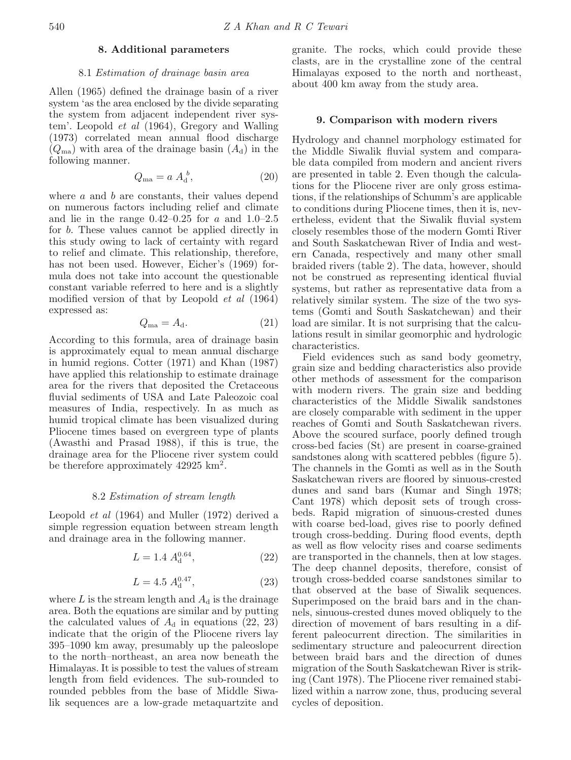### **8. Additional parameters**

### 8.1 Estimation of drainage basin area

Allen (1965) defined the drainage basin of a river system 'as the area enclosed by the divide separating the system from adjacent independent river system'. Leopold et al (1964), Gregory and Walling (1973) correlated mean annual flood discharge  $(Q_{\text{ma}})$  with area of the drainage basin  $(A_{\text{d}})$  in the following manner.

$$
Q_{\text{ma}} = a A_{\text{d}}^b,\tag{20}
$$

where  $a$  and  $b$  are constants, their values depend on numerous factors including relief and climate and lie in the range  $0.42-0.25$  for a and  $1.0-2.5$ for b. These values cannot be applied directly in this study owing to lack of certainty with regard to relief and climate. This relationship, therefore, has not been used. However, Eicher's (1969) formula does not take into account the questionable constant variable referred to here and is a slightly modified version of that by Leopold et al (1964) expressed as:

$$
Q_{\text{ma}} = A_{\text{d}}.\tag{21}
$$

According to this formula, area of drainage basin is approximately equal to mean annual discharge in humid regions. Cotter (1971) and Khan (1987) have applied this relationship to estimate drainage area for the rivers that deposited the Cretaceous fluvial sediments of USA and Late Paleozoic coal measures of India, respectively. In as much as humid tropical climate has been visualized during Pliocene times based on evergreen type of plants (Awasthi and Prasad 1988), if this is true, the drainage area for the Pliocene river system could be therefore approximately  $42925 \text{ km}^2$ .

### 8.2 Estimation of stream length

Leopold et al (1964) and Muller (1972) derived a simple regression equation between stream length and drainage area in the following manner.

$$
L = 1.4 \, A_{\rm d}^{0.64},\tag{22}
$$

$$
L = 4.5 Ad0.47, \t(23)
$$

where L is the stream length and  $A_d$  is the drainage area. Both the equations are similar and by putting the calculated values of  $A_d$  in equations (22, 23) indicate that the origin of the Pliocene rivers lay 395–1090 km away, presumably up the paleoslope to the north–northeast, an area now beneath the Himalayas. It is possible to test the values of stream length from field evidences. The sub-rounded to rounded pebbles from the base of Middle Siwalik sequences are a low-grade metaquartzite and

granite. The rocks, which could provide these clasts, are in the crystalline zone of the central Himalayas exposed to the north and northeast, about 400 km away from the study area.

### **9. Comparison with modern rivers**

Hydrology and channel morphology estimated for the Middle Siwalik fluvial system and comparable data compiled from modern and ancient rivers are presented in table 2. Even though the calculations for the Pliocene river are only gross estimations, if the relationships of Schumm's are applicable to conditions during Pliocene times, then it is, nevertheless, evident that the Siwalik fluvial system closely resembles those of the modern Gomti River and South Saskatchewan River of India and western Canada, respectively and many other small braided rivers (table 2). The data, however, should not be construed as representing identical fluvial systems, but rather as representative data from a relatively similar system. The size of the two systems (Gomti and South Saskatchewan) and their load are similar. It is not surprising that the calculations result in similar geomorphic and hydrologic characteristics.

Field evidences such as sand body geometry, grain size and bedding characteristics also provide other methods of assessment for the comparison with modern rivers. The grain size and bedding characteristics of the Middle Siwalik sandstones are closely comparable with sediment in the upper reaches of Gomti and South Saskatchewan rivers. Above the scoured surface, poorly defined trough cross-bed facies (St) are present in coarse-grained sandstones along with scattered pebbles (figure 5). The channels in the Gomti as well as in the South Saskatchewan rivers are floored by sinuous-crested dunes and sand bars (Kumar and Singh 1978; Cant 1978) which deposit sets of trough crossbeds. Rapid migration of sinuous-crested dunes with coarse bed-load, gives rise to poorly defined trough cross-bedding. During flood events, depth as well as flow velocity rises and coarse sediments are transported in the channels, then at low stages. The deep channel deposits, therefore, consist of trough cross-bedded coarse sandstones similar to that observed at the base of Siwalik sequences. Superimposed on the braid bars and in the channels, sinuous-crested dunes moved obliquely to the direction of movement of bars resulting in a different paleocurrent direction. The similarities in sedimentary structure and paleocurrent direction between braid bars and the direction of dunes migration of the South Saskatchewan River is striking (Cant 1978). The Pliocene river remained stabilized within a narrow zone, thus, producing several cycles of deposition.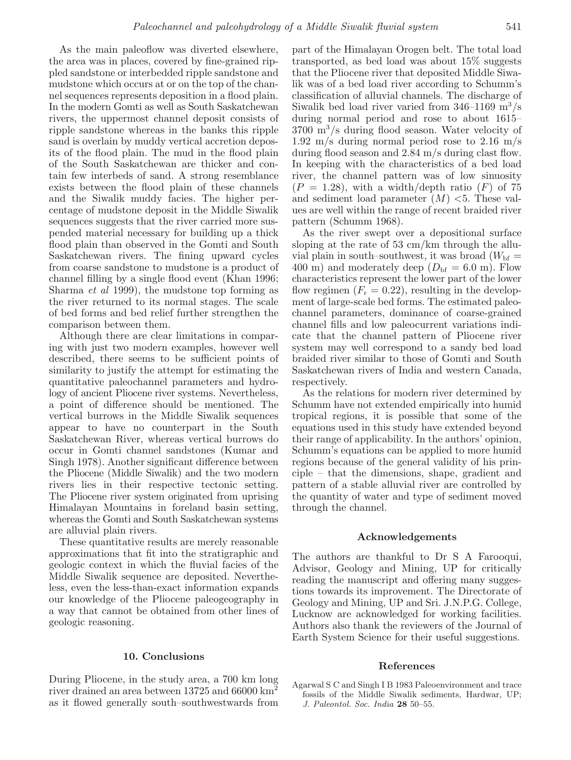As the main paleoflow was diverted elsewhere, the area was in places, covered by fine-grained rippled sandstone or interbedded ripple sandstone and mudstone which occurs at or on the top of the channel sequences represents deposition in a flood plain. In the modern Gomti as well as South Saskatchewan rivers, the uppermost channel deposit consists of ripple sandstone whereas in the banks this ripple sand is overlain by muddy vertical accretion deposits of the flood plain. The mud in the flood plain of the South Saskatchewan are thicker and contain few interbeds of sand. A strong resemblance exists between the flood plain of these channels and the Siwalik muddy facies. The higher percentage of mudstone deposit in the Middle Siwalik sequences suggests that the river carried more suspended material necessary for building up a thick flood plain than observed in the Gomti and South Saskatchewan rivers. The fining upward cycles from coarse sandstone to mudstone is a product of channel filling by a single flood event (Khan 1996; Sharma et al 1999), the mudstone top forming as the river returned to its normal stages. The scale of bed forms and bed relief further strengthen the comparison between them.

Although there are clear limitations in comparing with just two modern examples, however well described, there seems to be sufficient points of similarity to justify the attempt for estimating the quantitative paleochannel parameters and hydrology of ancient Pliocene river systems. Nevertheless, a point of difference should be mentioned. The vertical burrows in the Middle Siwalik sequences appear to have no counterpart in the South Saskatchewan River, whereas vertical burrows do occur in Gomti channel sandstones (Kumar and Singh 1978). Another significant difference between the Pliocene (Middle Siwalik) and the two modern rivers lies in their respective tectonic setting. The Pliocene river system originated from uprising Himalayan Mountains in foreland basin setting, whereas the Gomti and South Saskatchewan systems are alluvial plain rivers.

These quantitative results are merely reasonable approximations that fit into the stratigraphic and geologic context in which the fluvial facies of the Middle Siwalik sequence are deposited. Nevertheless, even the less-than-exact information expands our knowledge of the Pliocene paleogeography in a way that cannot be obtained from other lines of geologic reasoning.

### **10. Conclusions**

During Pliocene, in the study area, a 700 km long river drained an area between 13725 and 66000 km<sup>2</sup> as it flowed generally south–southwestwards from

part of the Himalayan Orogen belt. The total load transported, as bed load was about 15% suggests that the Pliocene river that deposited Middle Siwalik was of a bed load river according to Schumm's classification of alluvial channels. The discharge of Siwalik bed load river varied from  $346-1169$  m<sup>3</sup>/s during normal period and rose to about 1615–  $3700 \text{ m}^3/\text{s}$  during flood season. Water velocity of 1.92 m/s during normal period rose to 2.16 m/s during flood season and 2.84 m/s during clast flow. In keeping with the characteristics of a bed load river, the channel pattern was of low sinuosity  $(P = 1.28)$ , with a width/depth ratio  $(F)$  of 75 and sediment load parameter  $(M)$  <5. These values are well within the range of recent braided river pattern (Schumm 1968).

As the river swept over a depositional surface sloping at the rate of 53 cm/km through the alluvial plain in south–southwest, it was broad  $(W_{\text{bf}} =$ 400 m) and moderately deep  $(D_{\text{bf}} = 6.0 \text{ m})$ . Flow characteristics represent the lower part of the lower flow regimen  $(F_r = 0.22)$ , resulting in the development of large-scale bed forms. The estimated paleochannel parameters, dominance of coarse-grained channel fills and low paleocurrent variations indicate that the channel pattern of Pliocene river system may well correspond to a sandy bed load braided river similar to those of Gomti and South Saskatchewan rivers of India and western Canada, respectively.

As the relations for modern river determined by Schumm have not extended empirically into humid tropical regions, it is possible that some of the equations used in this study have extended beyond their range of applicability. In the authors' opinion, Schumm's equations can be applied to more humid regions because of the general validity of his principle – that the dimensions, shape, gradient and pattern of a stable alluvial river are controlled by the quantity of water and type of sediment moved through the channel.

#### **Acknowledgements**

The authors are thankful to Dr S A Farooqui, Advisor, Geology and Mining, UP for critically reading the manuscript and offering many suggestions towards its improvement. The Directorate of Geology and Mining, UP and Sri. J.N.P.G. College, Lucknow are acknowledged for working facilities. Authors also thank the reviewers of the Journal of Earth System Science for their useful suggestions.

#### **References**

Agarwal S C and Singh I B 1983 Paleoenvironment and trace fossils of the Middle Siwalik sediments, Hardwar, UP; J. Paleontol. Soc. India **28** 50–55.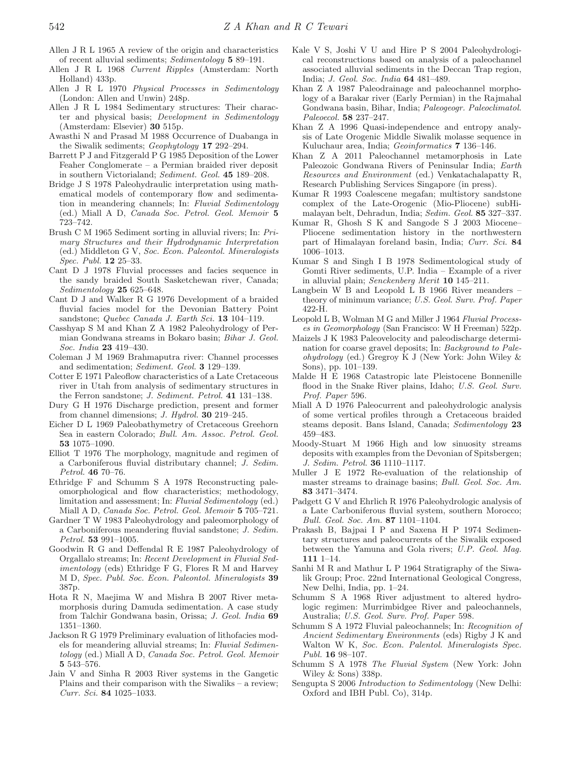- Allen J R L 1965 A review of the origin and characteristics of recent alluvial sediments; Sedimentology **5** 89–191.
- Allen J R L 1968 Current Ripples (Amsterdam: North Holland) 433p.
- Allen J R L 1970 Physical Processes in Sedimentology (London: Allen and Unwin) 248p.
- Allen J R L 1984 Sedimentary structures: Their character and physical basis; Development in Sedimentology (Amsterdam: Elsevier) **30** 515p.
- Awasthi N and Prasad M 1988 Occurrence of Duabanga in the Siwalik sediments; Geophytology **17** 292–294.
- Barrett P J and Fitzgerald P G 1985 Deposition of the Lower Feaher Conglomerate – a Permian braided river deposit in southern Victorialand; Sediment. Geol. **45** 189–208.
- Bridge J S 1978 Paleohydraulic interpretation using mathematical models of contemporary flow and sedimentation in meandering channels; In: Fluvial Sedimentology (ed.) Miall A D, Canada Soc. Petrol. Geol. Memoir **5** 723–742.
- Brush C M 1965 Sediment sorting in alluvial rivers; In: Primary Structures and their Hydrodynamic Interpretation (ed.) Middleton G V, Soc. Econ. Paleontol. Mineralogists Spec. Publ. **12** 25–33.
- Cant D J 1978 Fluvial processes and facies sequence in the sandy braided South Sasketchewan river, Canada; Sedimentology **25** 625–648.
- Cant D J and Walker R G 1976 Development of a braided fluvial facies model for the Devonian Battery Point sandstone; Quebec Canada J. Earth Sci. **13** 104–119.
- Casshyap S M and Khan Z A 1982 Paleohydrology of Permian Gondwana streams in Bokaro basin; Bihar J. Geol. Soc. India **23** 419–430.
- Coleman J M 1969 Brahmaputra river: Channel processes and sedimentation; Sediment. Geol. **3** 129–139.
- Cotter E 1971 Paleoflow characteristics of a Late Cretaceous river in Utah from analysis of sedimentary structures in the Ferron sandstone; J. Sediment. Petrol. **41** 131–138.
- Dury G H 1976 Discharge prediction, present and former from channel dimensions; J. Hydrol. **30** 219–245.
- Eicher D L 1969 Paleobathymetry of Cretaceous Greehorn Sea in eastern Colorado; Bull. Am. Assoc. Petrol. Geol. **53** 1075–1090.
- Elliot T 1976 The morphology, magnitude and regimen of a Carboniferous fluvial distributary channel; J. Sedim. Petrol. **46** 70–76.
- Ethridge F and Schumm S A 1978 Reconstructing paleomorphological and flow characteristics; methodology, limitation and assessment; In: Fluvial Sedimentology (ed.) Miall A D, Canada Soc. Petrol. Geol. Memoir **5** 705–721.
- Gardner T W 1983 Paleohydrology and paleomorphology of a Carboniferous meandering fluvial sandstone; J. Sedim. Petrol. **53** 991–1005.
- Goodwin R G and Deffendal R E 1987 Paleohydrology of Orgallalo streams; In: Recent Development in Fluvial Sedimentology (eds) Ethridge F G, Flores R M and Harvey M D, Spec. Publ. Soc. Econ. Paleontol. Mineralogists **39** 387p.
- Hota R N, Maejima W and Mishra B 2007 River metamorphosis during Damuda sedimentation. A case study from Talchir Gondwana basin, Orissa; J. Geol. India **69** 1351–1360.
- Jackson R G 1979 Preliminary evaluation of lithofacies models for meandering alluvial streams; In: Fluvial Sedimentology (ed.) Miall A D, Canada Soc. Petrol. Geol. Memoir **5** 543–576.
- Jain V and Sinha R 2003 River systems in the Gangetic Plains and their comparison with the Siwaliks – a review; Curr. Sci. **84** 1025–1033.
- Kale V S, Joshi V U and Hire P S 2004 Paleohydrological reconstructions based on analysis of a paleochannel associated alluvial sediments in the Deccan Trap region, India; J. Geol. Soc. India **64** 481–489.
- Khan Z A 1987 Paleodrainage and paleochannel morphology of a Barakar river (Early Permian) in the Rajmahal Gondwana basin, Bihar, India; Paleogeogr. Paleoclimatol. Paleoecol. **58** 237–247.
- Khan Z A 1996 Quasi-independence and entropy analysis of Late Orogenic Middle Siwalik molasse sequence in Kuluchaur area, India; Geoinformatics **7** 136–146.
- Khan Z A 2011 Paleochannel metamorphosis in Late Paleozoic Gondwana Rivers of Peninsular India; Earth Resources and Environment (ed.) Venkatachalapatty R, Research Publishing Services Singapore (in press).
- Kumar R 1993 Coalescene megafan; multistory sandstone complex of the Late-Orogenic (Mio-Pliocene) subHimalayan belt, Dehradun, India; Sedim. Geol. **85** 327–337.
- Kumar R, Ghosh S K and Sangode S J 2003 Miocene– Pliocene sedimentation history in the northwestern part of Himalayan foreland basin, India; Curr. Sci. **84** 1006–1013.
- Kumar S and Singh I B 1978 Sedimentological study of Gomti River sediments, U.P. India – Example of a river in alluvial plain; Senckenberg Merit **10** 145–211.
- Langbein W B and Leopold L B 1966 River meanders theory of minimum variance; U.S. Geol. Surv. Prof. Paper 422-H.
- Leopold L B, Wolman M G and Miller J 1964 Fluvial Processes in Geomorphology (San Francisco: W H Freeman) 522p.
- Maizels J K 1983 Paleovelocity and paleodischarge determination for coarse gravel deposits; In: Background to Paleohydrology (ed.) Gregroy K J (New York: John Wiley & Sons), pp. 101–139.
- Malde H E 1968 Catastropic late Pleistocene Bonnenille flood in the Snake River plains, Idaho; U.S. Geol. Surv. Prof. Paper 596.
- Miall A D 1976 Paleocurrent and paleohydrologic analysis of some vertical profiles through a Cretaceous braided steams deposit. Bans Island, Canada; Sedimentology **23** 459–483.
- Moody-Stuart M 1966 High and low sinuosity streams deposits with examples from the Devonian of Spitsbergen; J. Sedim. Petrol. **36** 1110–1117.
- Muller J E 1972 Re-evaluation of the relationship of master streams to drainage basins; Bull. Geol. Soc. Am. **83** 3471–3474.
- Padgett G V and Ehrlich R 1976 Paleohydrologic analysis of a Late Carboniferous fluvial system, southern Morocco; Bull. Geol. Soc. Am. **87** 1101–1104.
- Prakash B, Bajpai I P and Saxena H P 1974 Sedimentary structures and paleocurrents of the Siwalik exposed between the Yamuna and Gola rivers; U.P. Geol. Mag. **111** 1–14.
- Sanhi M R and Mathur L P 1964 Stratigraphy of the Siwalik Group; Proc. 22nd International Geological Congress, New Delhi, India, pp. 1–24.
- Schumm S A 1968 River adjustment to altered hydrologic regimen: Murrimbidgee River and paleochannels, Australia; U.S. Geol. Surv. Prof. Paper 598.
- Schumm S A 1972 Fluvial paleochannels; In: Recognition of Ancient Sedimentary Environments (eds) Rigby J K and Walton W K, Soc. Econ. Palentol. Mineralogists Spec. Publ. **16** 98–107.
- Schumm S A 1978 The Fluvial System (New York: John Wiley & Sons) 338p.
- Sengupta S 2006 Introduction to Sedimentology (New Delhi: Oxford and IBH Publ. Co), 314p.